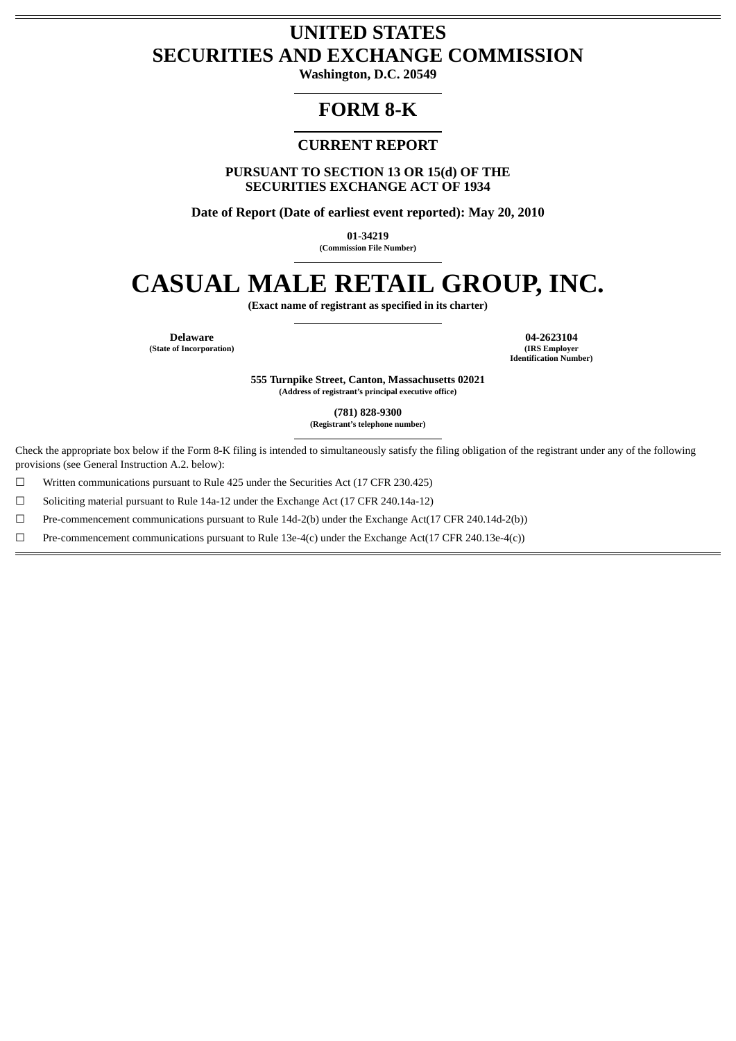# **UNITED STATES SECURITIES AND EXCHANGE COMMISSION**

**Washington, D.C. 20549**

# **FORM 8-K**

# **CURRENT REPORT**

**PURSUANT TO SECTION 13 OR 15(d) OF THE SECURITIES EXCHANGE ACT OF 1934**

**Date of Report (Date of earliest event reported): May 20, 2010**

**01-34219**

**(Commission File Number)**

# **CASUAL MALE RETAIL GROUP, INC.**

**(Exact name of registrant as specified in its charter)**

**(State of Incorporation)** 

**Delaware 04-2623104 Identification Number)**

> **555 Turnpike Street, Canton, Massachusetts 02021 (Address of registrant's principal executive office)**

> > **(781) 828-9300**

**(Registrant's telephone number)**

Check the appropriate box below if the Form 8-K filing is intended to simultaneously satisfy the filing obligation of the registrant under any of the following provisions (see General Instruction A.2. below):

 $\Box$  Written communications pursuant to Rule 425 under the Securities Act (17 CFR 230.425)

☐ Soliciting material pursuant to Rule 14a-12 under the Exchange Act (17 CFR 240.14a-12)

☐ Pre-commencement communications pursuant to Rule 14d-2(b) under the Exchange Act(17 CFR 240.14d-2(b))

 $□$  Pre-commencement communications pursuant to Rule 13e-4(c) under the Exchange Act(17 CFR 240.13e-4(c))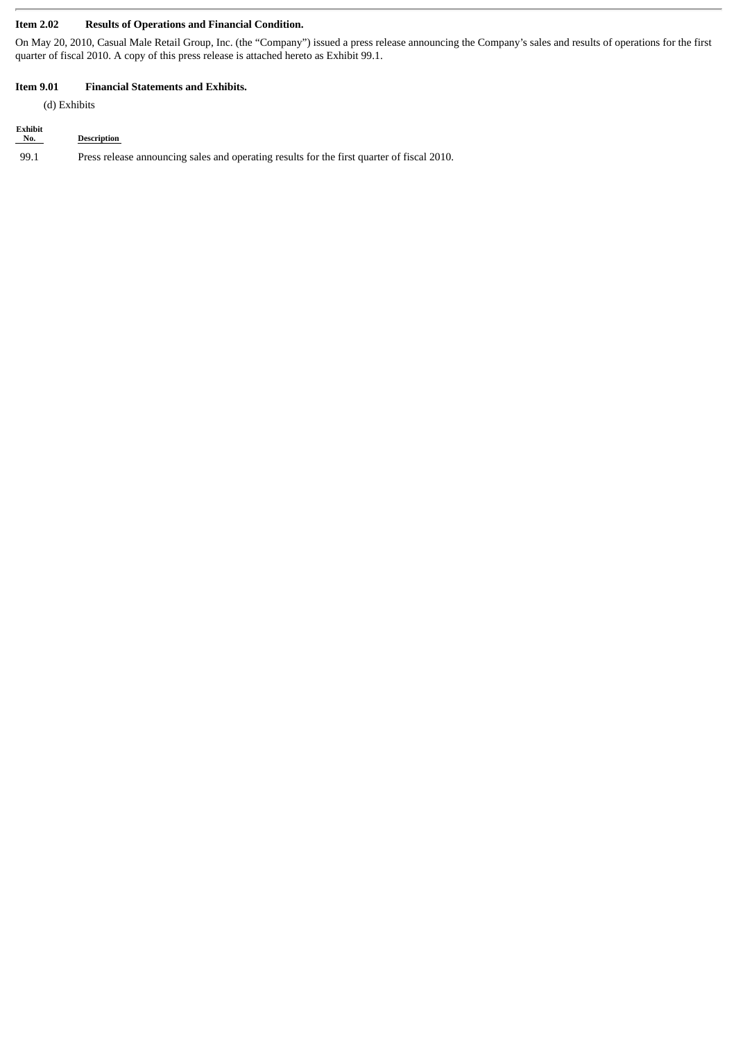# **Item 2.02 Results of Operations and Financial Condition.**

On May 20, 2010, Casual Male Retail Group, Inc. (the "Company") issued a press release announcing the Company's sales and results of operations for the first quarter of fiscal 2010. A copy of this press release is attached hereto as Exhibit 99.1.

#### **Item 9.01 Financial Statements and Exhibits.**

(d) Exhibits

| Exhibit<br>No. | <b>Description</b>                                                                         |
|----------------|--------------------------------------------------------------------------------------------|
| 99.1           | Press release announcing sales and operating results for the first quarter of fiscal 2010. |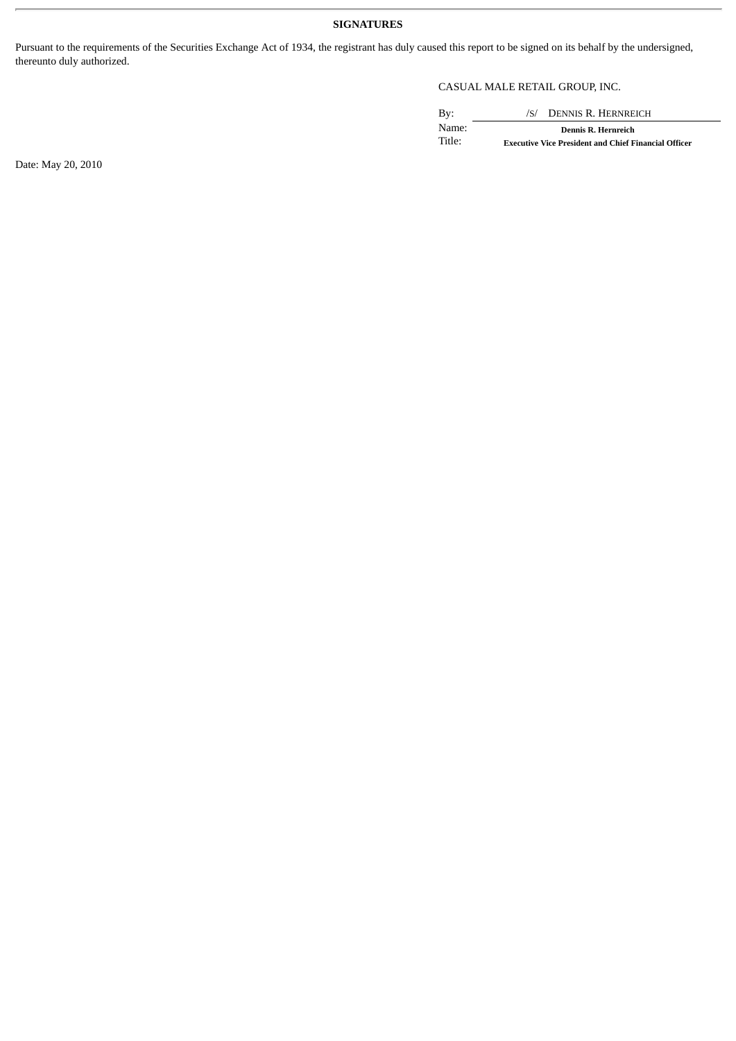## **SIGNATURES**

Pursuant to the requirements of the Securities Exchange Act of 1934, the registrant has duly caused this report to be signed on its behalf by the undersigned, thereunto duly authorized.

# CASUAL MALE RETAIL GROUP, INC.

By: /S/ DENNIS R. HERNREICH Name: **Dennis R. Hernreich Executive Vice President and Chief Financial Officer** 

Date: May 20, 2010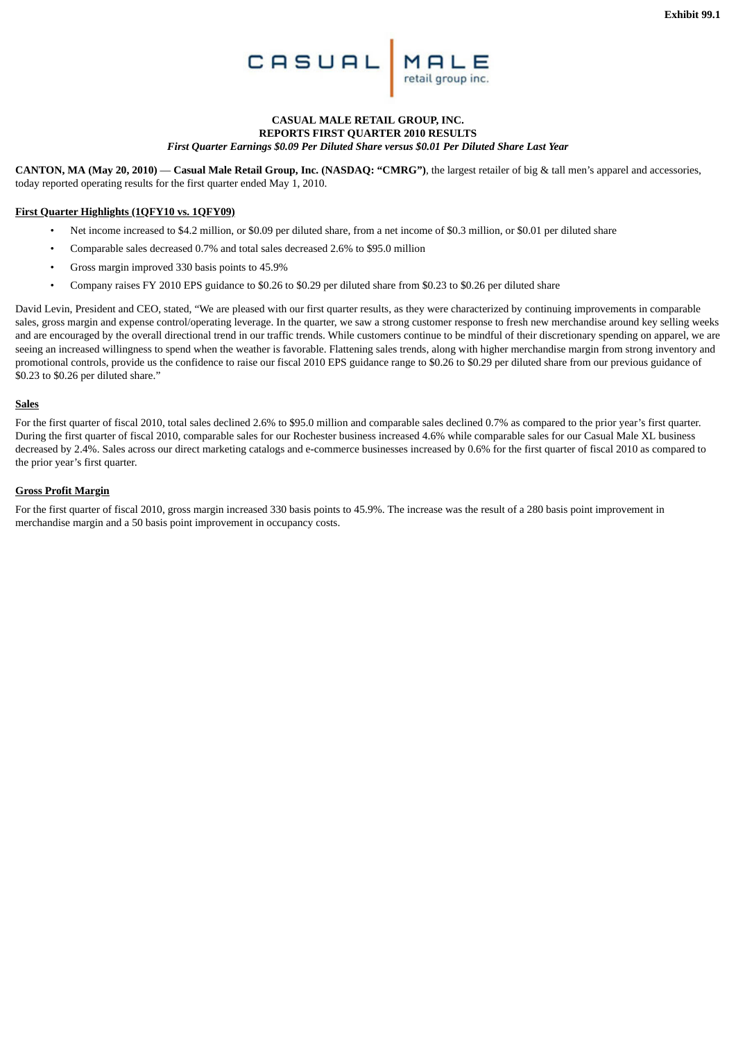

#### **CASUAL MALE RETAIL GROUP, INC. REPORTS FIRST QUARTER 2010 RESULTS** *First Quarter Earnings \$0.09 Per Diluted Share versus \$0.01 Per Diluted Share Last Year*

**CANTON, MA (May 20, 2010)** — **Casual Male Retail Group, Inc. (NASDAQ: "CMRG")**, the largest retailer of big & tall men's apparel and accessories, today reported operating results for the first quarter ended May 1, 2010.

#### **First Quarter Highlights (1QFY10 vs. 1QFY09)**

- Net income increased to \$4.2 million, or \$0.09 per diluted share, from a net income of \$0.3 million, or \$0.01 per diluted share
- Comparable sales decreased 0.7% and total sales decreased 2.6% to \$95.0 million
- Gross margin improved 330 basis points to 45.9%
- Company raises FY 2010 EPS guidance to \$0.26 to \$0.29 per diluted share from \$0.23 to \$0.26 per diluted share

David Levin, President and CEO, stated, "We are pleased with our first quarter results, as they were characterized by continuing improvements in comparable sales, gross margin and expense control/operating leverage. In the quarter, we saw a strong customer response to fresh new merchandise around key selling weeks and are encouraged by the overall directional trend in our traffic trends. While customers continue to be mindful of their discretionary spending on apparel, we are seeing an increased willingness to spend when the weather is favorable. Flattening sales trends, along with higher merchandise margin from strong inventory and promotional controls, provide us the confidence to raise our fiscal 2010 EPS guidance range to \$0.26 to \$0.29 per diluted share from our previous guidance of \$0.23 to \$0.26 per diluted share."

#### **Sales**

For the first quarter of fiscal 2010, total sales declined 2.6% to \$95.0 million and comparable sales declined 0.7% as compared to the prior year's first quarter. During the first quarter of fiscal 2010, comparable sales for our Rochester business increased 4.6% while comparable sales for our Casual Male XL business decreased by 2.4%. Sales across our direct marketing catalogs and e-commerce businesses increased by 0.6% for the first quarter of fiscal 2010 as compared to the prior year's first quarter.

#### **Gross Profit Margin**

For the first quarter of fiscal 2010, gross margin increased 330 basis points to 45.9%. The increase was the result of a 280 basis point improvement in merchandise margin and a 50 basis point improvement in occupancy costs.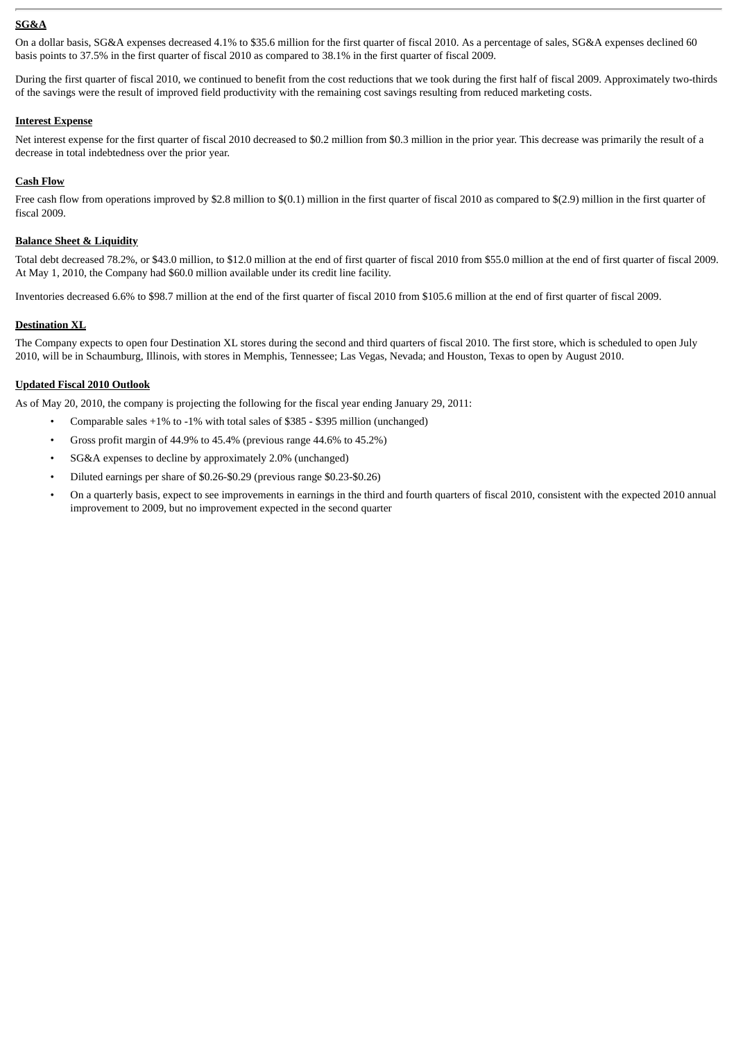## **SG&A**

On a dollar basis, SG&A expenses decreased 4.1% to \$35.6 million for the first quarter of fiscal 2010. As a percentage of sales, SG&A expenses declined 60 basis points to 37.5% in the first quarter of fiscal 2010 as compared to 38.1% in the first quarter of fiscal 2009.

During the first quarter of fiscal 2010, we continued to benefit from the cost reductions that we took during the first half of fiscal 2009. Approximately two-thirds of the savings were the result of improved field productivity with the remaining cost savings resulting from reduced marketing costs.

#### **Interest Expense**

Net interest expense for the first quarter of fiscal 2010 decreased to \$0.2 million from \$0.3 million in the prior year. This decrease was primarily the result of a decrease in total indebtedness over the prior year.

#### **Cash Flow**

Free cash flow from operations improved by \$2.8 million to \$(0.1) million in the first quarter of fiscal 2010 as compared to \$(2.9) million in the first quarter of fiscal 2009.

#### **Balance Sheet & Liquidity**

Total debt decreased 78.2%, or \$43.0 million, to \$12.0 million at the end of first quarter of fiscal 2010 from \$55.0 million at the end of first quarter of fiscal 2009. At May 1, 2010, the Company had \$60.0 million available under its credit line facility.

Inventories decreased 6.6% to \$98.7 million at the end of the first quarter of fiscal 2010 from \$105.6 million at the end of first quarter of fiscal 2009.

#### **Destination XL**

The Company expects to open four Destination XL stores during the second and third quarters of fiscal 2010. The first store, which is scheduled to open July 2010, will be in Schaumburg, Illinois, with stores in Memphis, Tennessee; Las Vegas, Nevada; and Houston, Texas to open by August 2010.

#### **Updated Fiscal 2010 Outlook**

As of May 20, 2010, the company is projecting the following for the fiscal year ending January 29, 2011:

- Comparable sales +1% to -1% with total sales of \$385 \$395 million (unchanged)
- Gross profit margin of 44.9% to 45.4% (previous range 44.6% to 45.2%)
- SG&A expenses to decline by approximately 2.0% (unchanged)
- Diluted earnings per share of \$0.26-\$0.29 (previous range \$0.23-\$0.26)
- On a quarterly basis, expect to see improvements in earnings in the third and fourth quarters of fiscal 2010, consistent with the expected 2010 annual improvement to 2009, but no improvement expected in the second quarter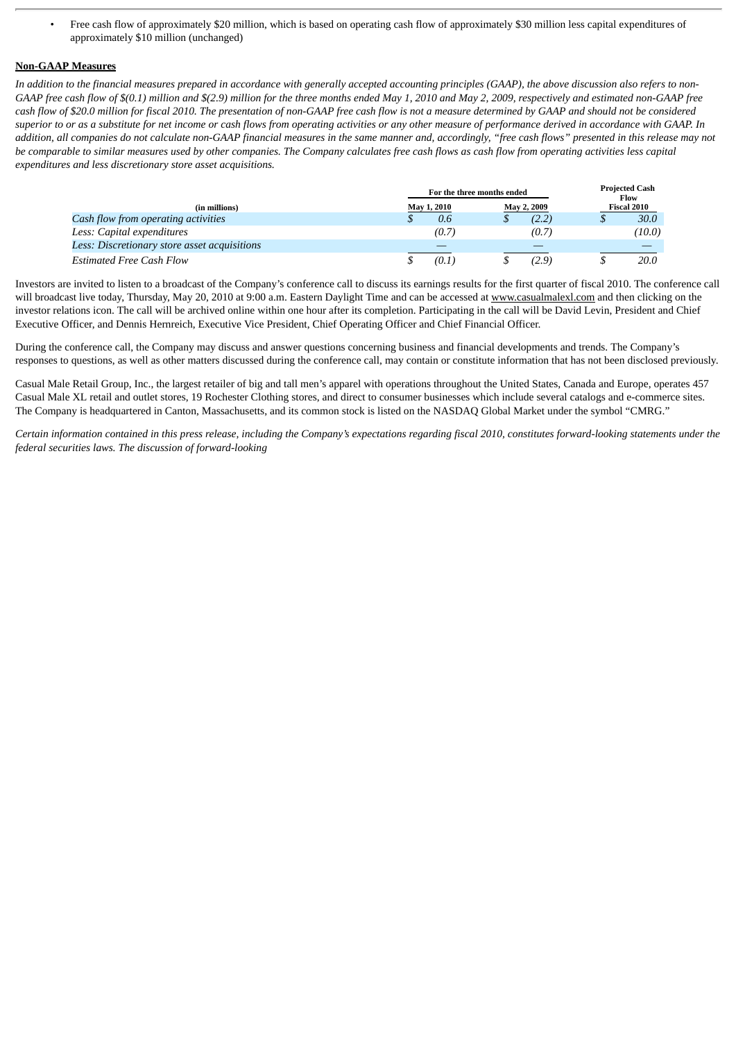• Free cash flow of approximately \$20 million, which is based on operating cash flow of approximately \$30 million less capital expenditures of approximately \$10 million (unchanged)

#### **Non-GAAP Measures**

*In addition to the financial measures prepared in accordance with generally accepted accounting principles (GAAP), the above discussion also refers to non-GAAP free cash flow of \$(0.1) million and \$(2.9) million for the three months ended May 1, 2010 and May 2, 2009, respectively and estimated non-GAAP free cash flow of \$20.0 million for fiscal 2010. The presentation of non-GAAP free cash flow is not a measure determined by GAAP and should not be considered superior to or as a substitute for net income or cash flows from operating activities or any other measure of performance derived in accordance with GAAP. In addition, all companies do not calculate non-GAAP financial measures in the same manner and, accordingly, "free cash flows" presented in this release may not be comparable to similar measures used by other companies. The Company calculates free cash flows as cash flow from operating activities less capital expenditures and less discretionary store asset acquisitions.*

|                                              | For the three months ended |             | <b>Projected Cash</b><br>Flow |  |
|----------------------------------------------|----------------------------|-------------|-------------------------------|--|
| (in millions)                                | May 1, 2010                | May 2, 2009 | Fiscal 2010                   |  |
| Cash flow from operating activities          | 0.6                        | (2.2)       | 30.0                          |  |
| Less: Capital expenditures                   | (0.7)                      | (0.7)       | (10.0)                        |  |
| Less: Discretionary store asset acquisitions |                            |             |                               |  |
| <b>Estimated Free Cash Flow</b>              | (0.1)                      | 2.9)        | 20.0                          |  |

Investors are invited to listen to a broadcast of the Company's conference call to discuss its earnings results for the first quarter of fiscal 2010. The conference call will broadcast live today, Thursday, May 20, 2010 at 9:00 a.m. Eastern Daylight Time and can be accessed at www.casualmalexl.com and then clicking on the investor relations icon. The call will be archived online within one hour after its completion. Participating in the call will be David Levin, President and Chief Executive Officer, and Dennis Hernreich, Executive Vice President, Chief Operating Officer and Chief Financial Officer.

During the conference call, the Company may discuss and answer questions concerning business and financial developments and trends. The Company's responses to questions, as well as other matters discussed during the conference call, may contain or constitute information that has not been disclosed previously.

Casual Male Retail Group, Inc., the largest retailer of big and tall men's apparel with operations throughout the United States, Canada and Europe, operates 457 Casual Male XL retail and outlet stores, 19 Rochester Clothing stores, and direct to consumer businesses which include several catalogs and e-commerce sites. The Company is headquartered in Canton, Massachusetts, and its common stock is listed on the NASDAQ Global Market under the symbol "CMRG."

*Certain information contained in this press release, including the Company's expectations regarding fiscal 2010, constitutes forward-looking statements under the federal securities laws. The discussion of forward-looking*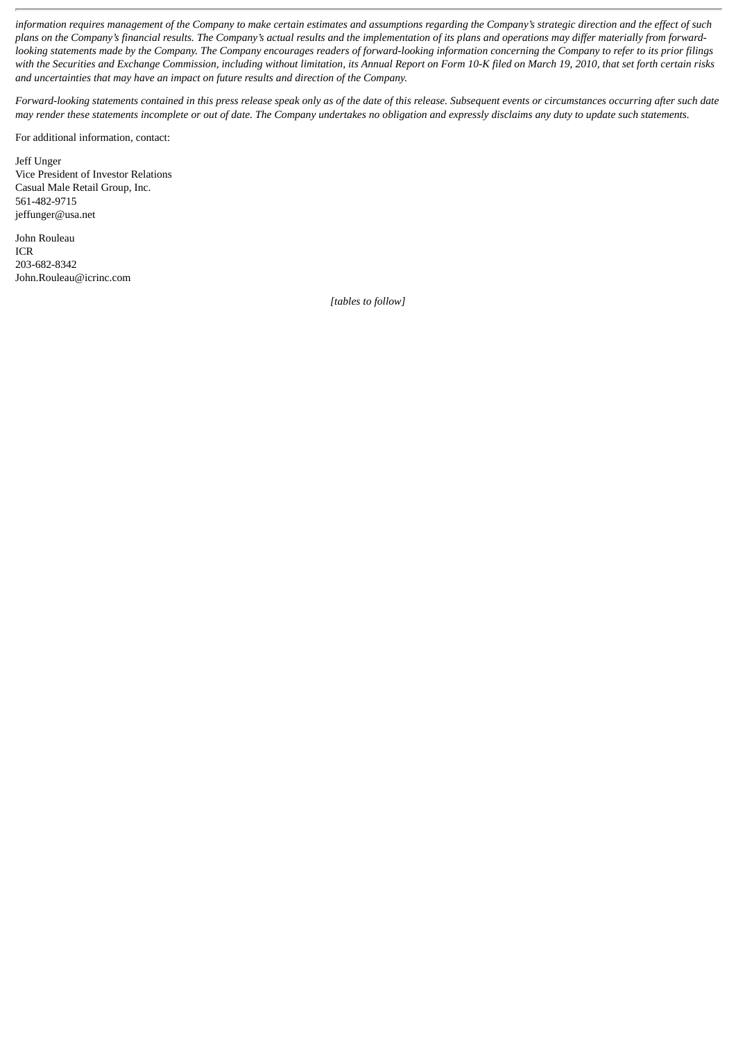*information requires management of the Company to make certain estimates and assumptions regarding the Company's strategic direction and the effect of such plans on the Company's financial results. The Company's actual results and the implementation of its plans and operations may differ materially from forwardlooking statements made by the Company. The Company encourages readers of forward-looking information concerning the Company to refer to its prior filings with the Securities and Exchange Commission, including without limitation, its Annual Report on Form 10-K filed on March 19, 2010, that set forth certain risks and uncertainties that may have an impact on future results and direction of the Company.*

*Forward-looking statements contained in this press release speak only as of the date of this release. Subsequent events or circumstances occurring after such date may render these statements incomplete or out of date. The Company undertakes no obligation and expressly disclaims any duty to update such statements.*

For additional information, contact:

Jeff Unger Vice President of Investor Relations Casual Male Retail Group, Inc. 561-482-9715 jeffunger@usa.net

John Rouleau ICR 203-682-8342 John.Rouleau@icrinc.com

*[tables to follow]*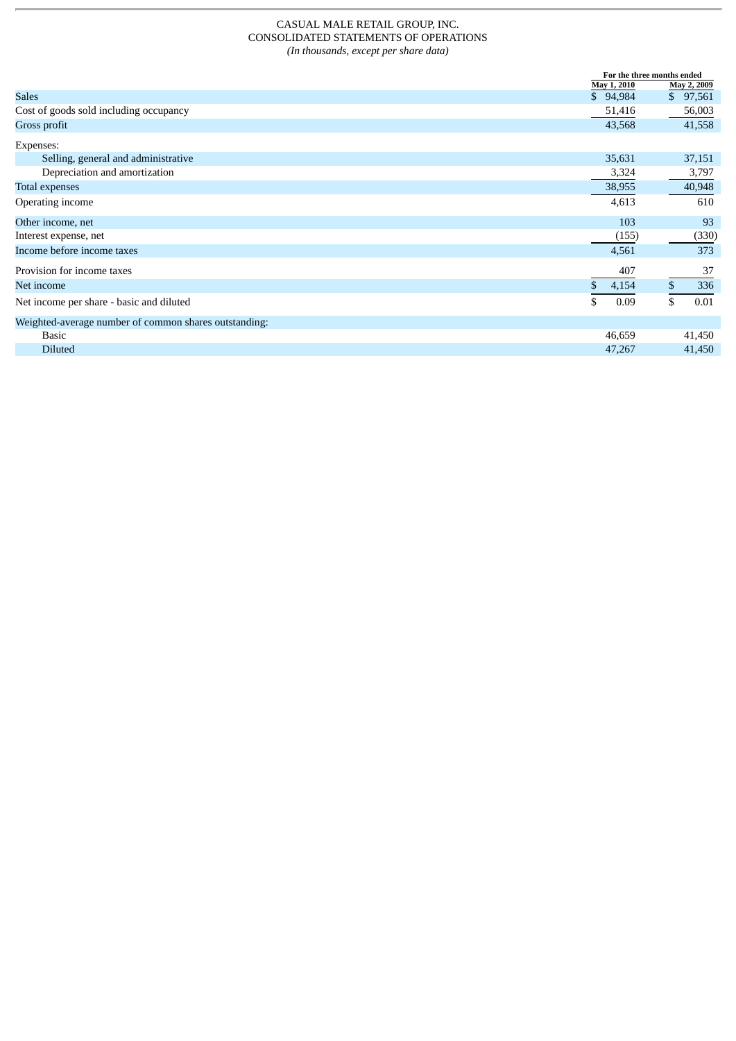## CASUAL MALE RETAIL GROUP, INC. CONSOLIDATED STATEMENTS OF OPERATIONS *(In thousands, except per share data)*

|                                                       |             | For the three months ended |  |
|-------------------------------------------------------|-------------|----------------------------|--|
|                                                       | May 1, 2010 | May 2, 2009                |  |
| <b>Sales</b>                                          | \$94,984    | 97,561<br>\$               |  |
| Cost of goods sold including occupancy                | 51,416      | 56,003                     |  |
| Gross profit                                          | 43,568      | 41,558                     |  |
| Expenses:                                             |             |                            |  |
| Selling, general and administrative                   | 35,631      | 37,151                     |  |
| Depreciation and amortization                         | 3,324       | 3,797                      |  |
| <b>Total expenses</b>                                 | 38,955      | 40,948                     |  |
| Operating income                                      | 4,613       | 610                        |  |
| Other income, net                                     | 103         | 93                         |  |
| Interest expense, net                                 | (155)       | (330)                      |  |
| Income before income taxes                            | 4,561       | 373                        |  |
| Provision for income taxes                            | 407         | 37                         |  |
| Net income                                            | 4,154       | 336                        |  |
| Net income per share - basic and diluted              | 0.09        | 0.01<br>\$                 |  |
| Weighted-average number of common shares outstanding: |             |                            |  |
| <b>Basic</b>                                          | 46,659      | 41,450                     |  |
| <b>Diluted</b>                                        | 47,267      | 41,450                     |  |